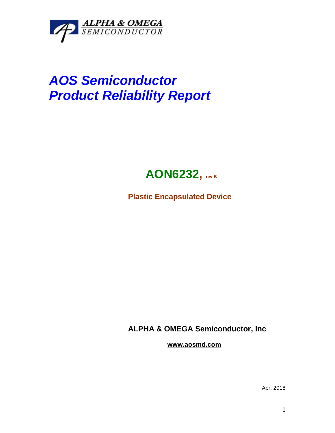

## *AOS Semiconductor Product Reliability Report*



**Plastic Encapsulated Device**

**ALPHA & OMEGA Semiconductor, Inc**

**www.aosmd.com**

Apr, 2018